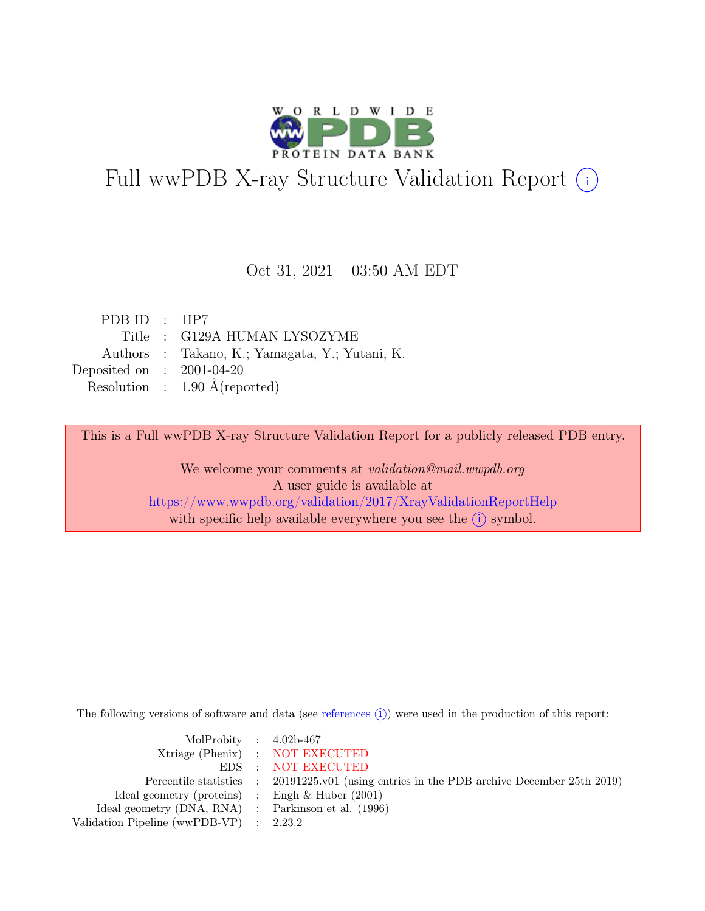

# Full wwPDB X-ray Structure Validation Report  $(i)$

#### Oct 31, 2021 – 03:50 AM EDT

| PDB ID : $1IP7$             |                                                |
|-----------------------------|------------------------------------------------|
|                             | Title : G129A HUMAN LYSOZYME                   |
|                             | Authors : Takano, K.; Yamagata, Y.; Yutani, K. |
| Deposited on : $2001-04-20$ |                                                |
|                             | Resolution : $1.90 \text{ Å}$ (reported)       |

This is a Full wwPDB X-ray Structure Validation Report for a publicly released PDB entry.

We welcome your comments at validation@mail.wwpdb.org A user guide is available at <https://www.wwpdb.org/validation/2017/XrayValidationReportHelp> with specific help available everywhere you see the  $(i)$  symbol.

The following versions of software and data (see [references](https://www.wwpdb.org/validation/2017/XrayValidationReportHelp#references)  $(i)$ ) were used in the production of this report:

| MolProbity : $4.02b-467$                            |                                                                                            |
|-----------------------------------------------------|--------------------------------------------------------------------------------------------|
|                                                     | Xtriage (Phenix) : NOT EXECUTED                                                            |
|                                                     | EDS : NOT EXECUTED                                                                         |
|                                                     | Percentile statistics : 20191225.v01 (using entries in the PDB archive December 25th 2019) |
| Ideal geometry (proteins) : Engh $\&$ Huber (2001)  |                                                                                            |
| Ideal geometry (DNA, RNA) : Parkinson et al. (1996) |                                                                                            |
| Validation Pipeline (wwPDB-VP) : 2.23.2             |                                                                                            |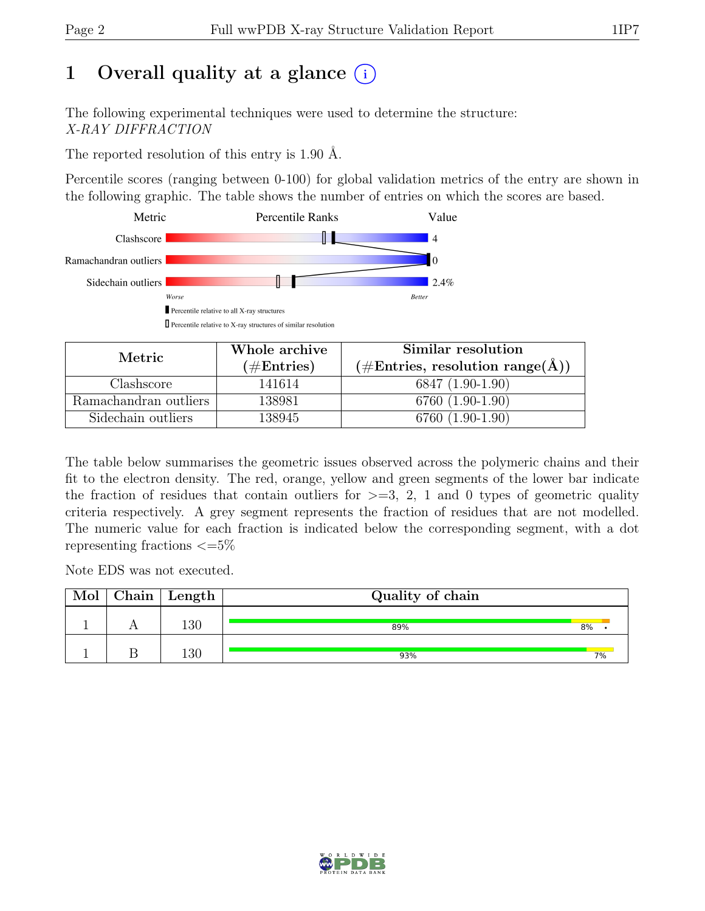# 1 Overall quality at a glance  $(i)$

The following experimental techniques were used to determine the structure: X-RAY DIFFRACTION

The reported resolution of this entry is 1.90 Å.

Percentile scores (ranging between 0-100) for global validation metrics of the entry are shown in the following graphic. The table shows the number of entries on which the scores are based.



| Metric                | Whole archive | Similar resolution                                         |  |  |
|-----------------------|---------------|------------------------------------------------------------|--|--|
|                       | $(\#Entries)$ | $(\#\text{Entries}, \text{ resolution range}(\text{\AA}))$ |  |  |
| Clashscore            | 141614        | 6847 (1.90-1.90)                                           |  |  |
| Ramachandran outliers | 138981        | 6760 (1.90-1.90)                                           |  |  |
| Sidechain outliers    | 138945        | 6760 (1.90-1.90)                                           |  |  |

The table below summarises the geometric issues observed across the polymeric chains and their fit to the electron density. The red, orange, yellow and green segments of the lower bar indicate the fraction of residues that contain outliers for  $\geq$ =3, 2, 1 and 0 types of geometric quality criteria respectively. A grey segment represents the fraction of residues that are not modelled. The numeric value for each fraction is indicated below the corresponding segment, with a dot representing fractions  $\epsilon = 5\%$ 

Note EDS was not executed.

| Mol | $Chain \mid Length$ | Quality of chain |       |
|-----|---------------------|------------------|-------|
|     | $\overline{.30}$    | 89%              | 8%    |
|     | $\overline{30}$     | 93%              | $7\%$ |

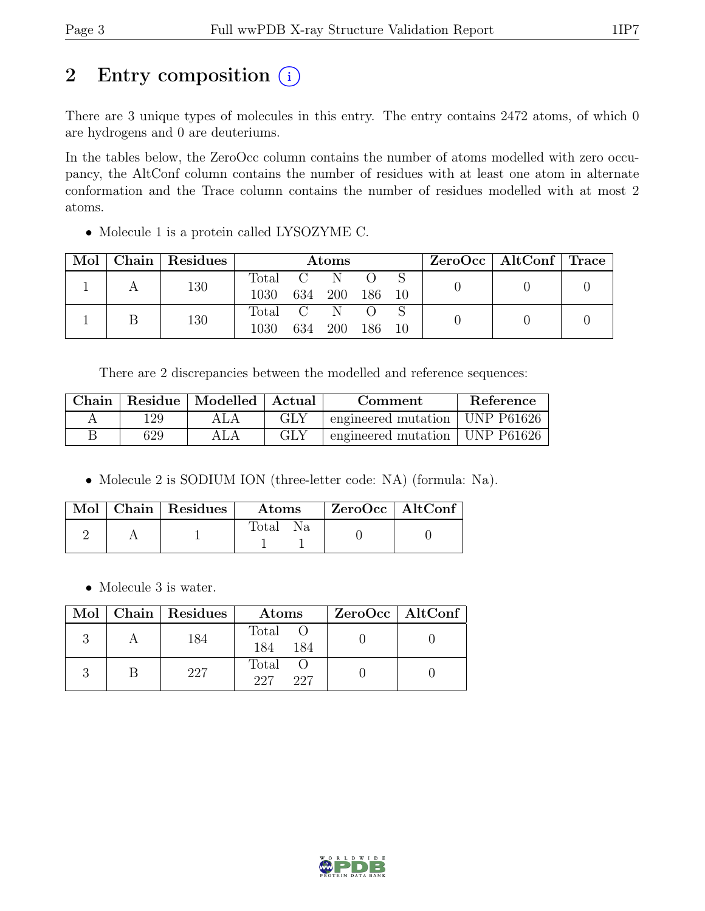# 2 Entry composition  $(i)$

There are 3 unique types of molecules in this entry. The entry contains 2472 atoms, of which 0 are hydrogens and 0 are deuteriums.

In the tables below, the ZeroOcc column contains the number of atoms modelled with zero occupancy, the AltConf column contains the number of residues with at least one atom in alternate conformation and the Trace column contains the number of residues modelled with at most 2 atoms.

• Molecule 1 is a protein called LYSOZYME C.

| Mol |  | Chain   Residues | <b>Atoms</b> |  |         |        |  | $ZeroOcc \mid AltConf \mid Trace$ |  |
|-----|--|------------------|--------------|--|---------|--------|--|-----------------------------------|--|
|     |  | 130              | Total C      |  | N       |        |  |                                   |  |
|     |  | 1030             | 634 200      |  | 186 10  |        |  |                                   |  |
|     |  | 130              | Total C      |  | N       |        |  |                                   |  |
|     |  |                  | 1030         |  | 634 200 | 186 10 |  |                                   |  |

There are 2 discrepancies between the modelled and reference sequences:

| Chain |     | $\parallel$ Residue $\parallel$ Modelled $\parallel$ Actual |     | Comment                          | Reference |
|-------|-----|-------------------------------------------------------------|-----|----------------------------------|-----------|
|       | -29 |                                                             | GLY | engineered mutation   UNP P61626 |           |
|       | 629 |                                                             | GLY | engineered mutation   UNP P61626 |           |

• Molecule 2 is SODIUM ION (three-letter code: NA) (formula: Na).

|  | Mol   Chain   Residues | $\boldsymbol{\mathrm{Atoms}}$ | $\mid$ ZeroOcc $\mid$ AltConf |  |
|--|------------------------|-------------------------------|-------------------------------|--|
|  |                        | Fotal                         |                               |  |

• Molecule 3 is water.

|  | Mol   Chain   Residues | Atoms                 | ZeroOcc   AltConf |
|--|------------------------|-----------------------|-------------------|
|  | 184                    | Total O<br>184<br>184 |                   |
|  | 227                    | Total<br>227<br>227   |                   |



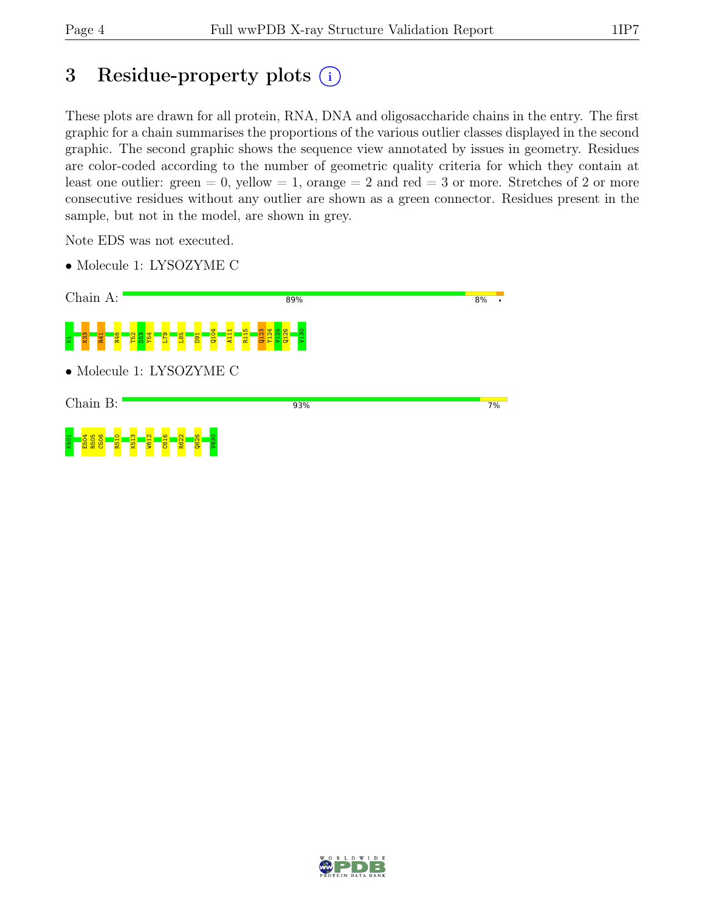# 3 Residue-property plots  $(i)$

These plots are drawn for all protein, RNA, DNA and oligosaccharide chains in the entry. The first graphic for a chain summarises the proportions of the various outlier classes displayed in the second graphic. The second graphic shows the sequence view annotated by issues in geometry. Residues are color-coded according to the number of geometric quality criteria for which they contain at least one outlier: green  $= 0$ , yellow  $= 1$ , orange  $= 2$  and red  $= 3$  or more. Stretches of 2 or more consecutive residues without any outlier are shown as a green connector. Residues present in the sample, but not in the model, are shown in grey.

Note EDS was not executed.

• Molecule 1: LYSOZYME C



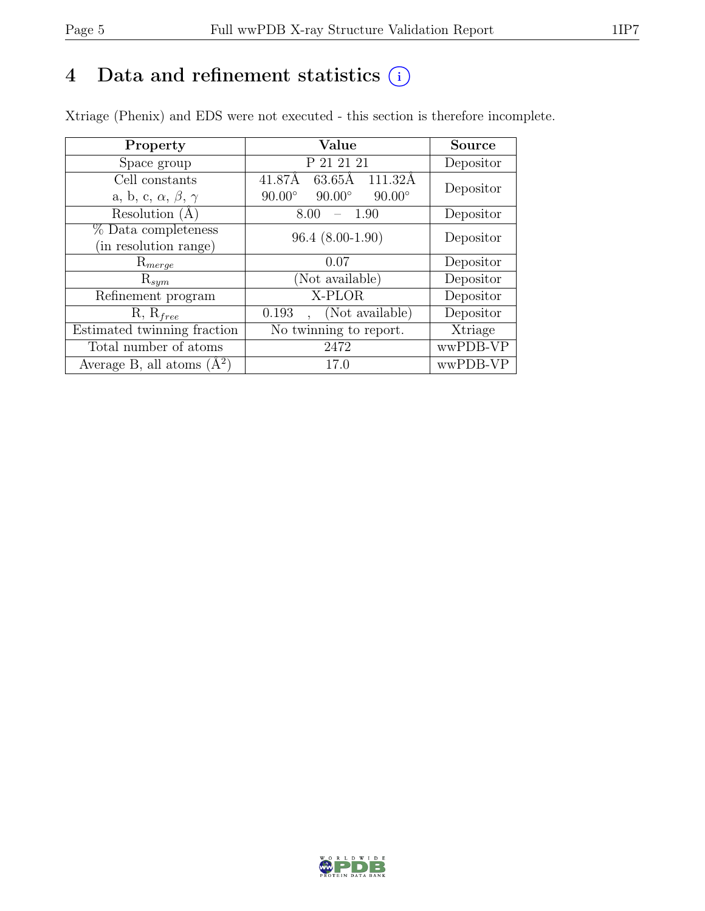## 4 Data and refinement statistics  $(i)$

Xtriage (Phenix) and EDS were not executed - this section is therefore incomplete.

| Property                               | Value                                           | <b>Source</b> |  |
|----------------------------------------|-------------------------------------------------|---------------|--|
| Space group                            | P 21 21 21                                      | Depositor     |  |
| Cell constants                         | $63.65\text{\AA}$<br>41.87Å<br>111.32Å          | Depositor     |  |
| a, b, c, $\alpha$ , $\beta$ , $\gamma$ | $90.00^\circ$<br>$90.00^\circ$<br>$90.00^\circ$ |               |  |
| Resolution $(A)$                       | 1.90<br>8.00                                    | Depositor     |  |
| % Data completeness                    | $96.4(8.00-1.90)$                               | Depositor     |  |
| (in resolution range)                  |                                                 |               |  |
| $\mathrm{R}_{merge}$                   | 0.07                                            | Depositor     |  |
| $\mathrm{R}_{sym}$                     | (Not available)                                 | Depositor     |  |
| Refinement program                     | X-PLOR                                          | Depositor     |  |
| $R, R_{free}$                          | (Not available)<br>0.193                        | Depositor     |  |
| Estimated twinning fraction            | No twinning to report.                          | Xtriage       |  |
| Total number of atoms                  | 2472                                            | wwPDB-VP      |  |
| Average B, all atoms $(A^2)$           | 17.0                                            | wwPDB-VP      |  |

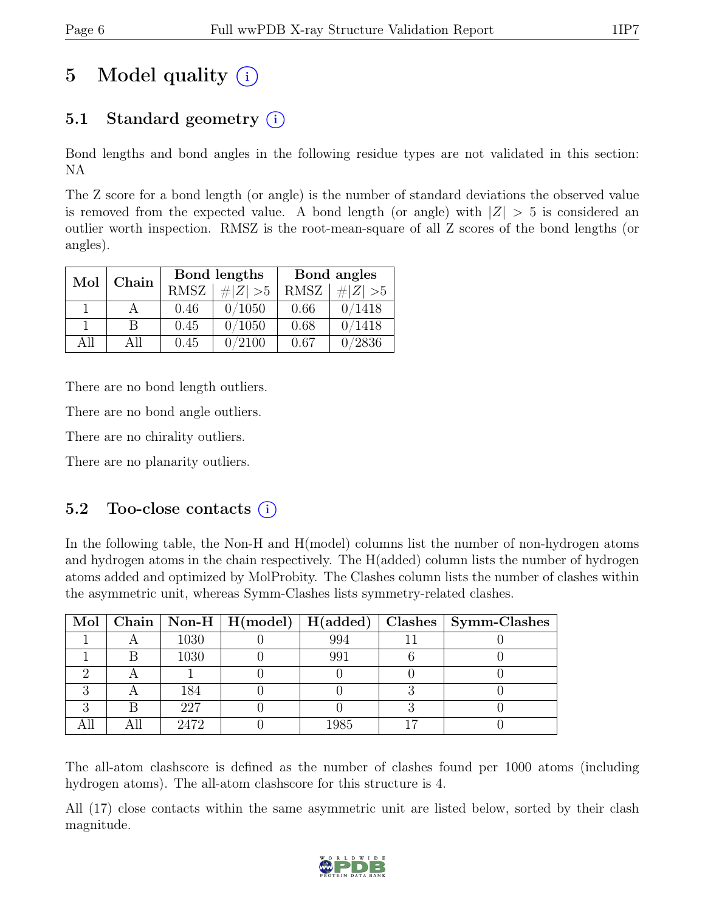# 5 Model quality  $(i)$

## 5.1 Standard geometry  $(i)$

Bond lengths and bond angles in the following residue types are not validated in this section: NA

The Z score for a bond length (or angle) is the number of standard deviations the observed value is removed from the expected value. A bond length (or angle) with  $|Z| > 5$  is considered an outlier worth inspection. RMSZ is the root-mean-square of all Z scores of the bond lengths (or angles).

| Mol | Chain |             | Bond lengths | Bond angles |             |  |
|-----|-------|-------------|--------------|-------------|-------------|--|
|     |       | <b>RMSZ</b> | $\# Z  > 5$  | <b>RMSZ</b> | $\# Z  > 5$ |  |
|     |       | 0.46        | 0/1050       | 0.66        | 0/1418      |  |
|     | В     | 0.45        | 0/1050       | 0.68        | 0/1418      |  |
| All | All   | 0.45        | 0/2100       | 0.67        | 0/2836      |  |

There are no bond length outliers.

There are no bond angle outliers.

There are no chirality outliers.

There are no planarity outliers.

#### 5.2 Too-close contacts  $(i)$

In the following table, the Non-H and H(model) columns list the number of non-hydrogen atoms and hydrogen atoms in the chain respectively. The H(added) column lists the number of hydrogen atoms added and optimized by MolProbity. The Clashes column lists the number of clashes within the asymmetric unit, whereas Symm-Clashes lists symmetry-related clashes.

|  |      |      | Mol   Chain   Non-H   H(model)   H(added)   Clashes   Symm-Clashes |
|--|------|------|--------------------------------------------------------------------|
|  | 1030 | 994  |                                                                    |
|  | 1030 | 991  |                                                                    |
|  |      |      |                                                                    |
|  | 184  |      |                                                                    |
|  | 227  |      |                                                                    |
|  | 2472 | 1985 |                                                                    |

The all-atom clashscore is defined as the number of clashes found per 1000 atoms (including hydrogen atoms). The all-atom clashscore for this structure is 4.

All (17) close contacts within the same asymmetric unit are listed below, sorted by their clash magnitude.

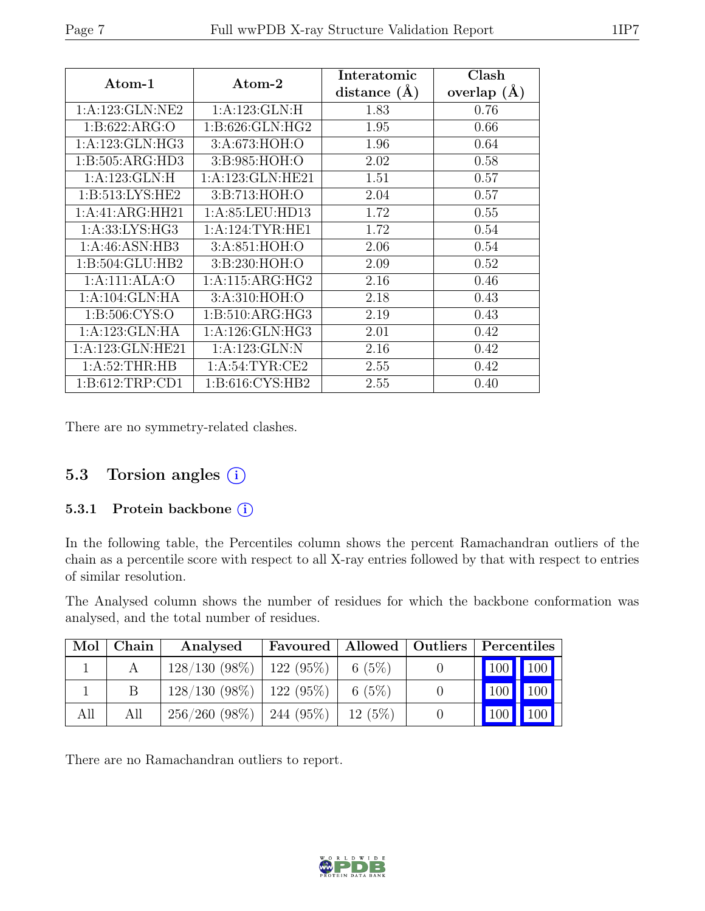| $\rm{Atom-1}$       | Atom-2               | Interatomic<br>distance $(A)$ | Clash<br>overlap<br>(A) |
|---------------------|----------------------|-------------------------------|-------------------------|
| 1:A:123:GLN:NE2     | 1: A: 123: GLN: H    | 1.83                          | 0.76                    |
| 1: B:622: ARG:O     | 1: B:626: GLN: HG2   | 1.95                          | 0.66                    |
| 1: A: 123: GLN: HG3 | 3:A:673:HOH:O        | 1.96                          | 0.64                    |
| 1: B: 505: ARG: HD3 | 3:B:985:HOH:O        | 2.02                          | 0.58                    |
| 1:A:123:GLN:H       | 1: A: 123: GLN: HE21 | 1.51                          | 0.57                    |
| 1: B:513: LYS: HE2  | 3:B:713:HOH:O        | 2.04                          | 0.57                    |
| 1:A:41:ARG:HH21     | 1: A:85:LEU:HD13     | 1.72                          | 0.55                    |
| 1:A:33:LYS:HG3      | 1: A:124:TYR:HE1     | 1.72                          | 0.54                    |
| 1:A:46:ASN:HB3      | 3:A:851:HOH:O        | 2.06                          | 0.54                    |
| 1:B:504:GLU:HB2     | 3:B:230:HOH:O        | 2.09                          | 0.52                    |
| 1:A:111:ALA:O       | 1: A:115: ARG: HG2   | 2.16                          | 0.46                    |
| 1: A:104: GLN: HA   | 3:A:310:HOH:O        | 2.18                          | 0.43                    |
| 1: B:506: CYS:O     | 1: B:510: ARG: HG3   | 2.19                          | 0.43                    |
| 1:A:123:GLN:HA      | 1: A:126: GLN: HG3   | 2.01                          | 0.42                    |
| 1:A:123:GLN:HE21    | 1:A:123:GLN:N        | 2.16                          | 0.42                    |
| 1: A:52:THR:HB      | 1: A:54:TYR:CE2      | 2.55                          | 0.42                    |
| 1: B: 612: TRP: CD1 | 1:B:616:CYS:HB2      | 2.55                          | 0.40                    |

There are no symmetry-related clashes.

### 5.3 Torsion angles  $(i)$

#### 5.3.1 Protein backbone (i)

In the following table, the Percentiles column shows the percent Ramachandran outliers of the chain as a percentile score with respect to all X-ray entries followed by that with respect to entries of similar resolution.

The Analysed column shows the number of residues for which the backbone conformation was analysed, and the total number of residues.

| Mol | Chain | Analysed                      | Favoured   Allowed   Outliers |          | Percentiles |               |
|-----|-------|-------------------------------|-------------------------------|----------|-------------|---------------|
|     |       | $128/130(98\%)$   122 (95\%)  |                               | 6 $(5%)$ | 100 100     |               |
|     |       | $128/130$ (98\%)   122 (95\%) |                               | 6 $(5%)$ |             | $100$   $100$ |
| All | All   | 256/260(98%)                  | $\frac{1}{244}$ (95%)         | 12(5%)   | 100         | $\vert$ 100   |

There are no Ramachandran outliers to report.

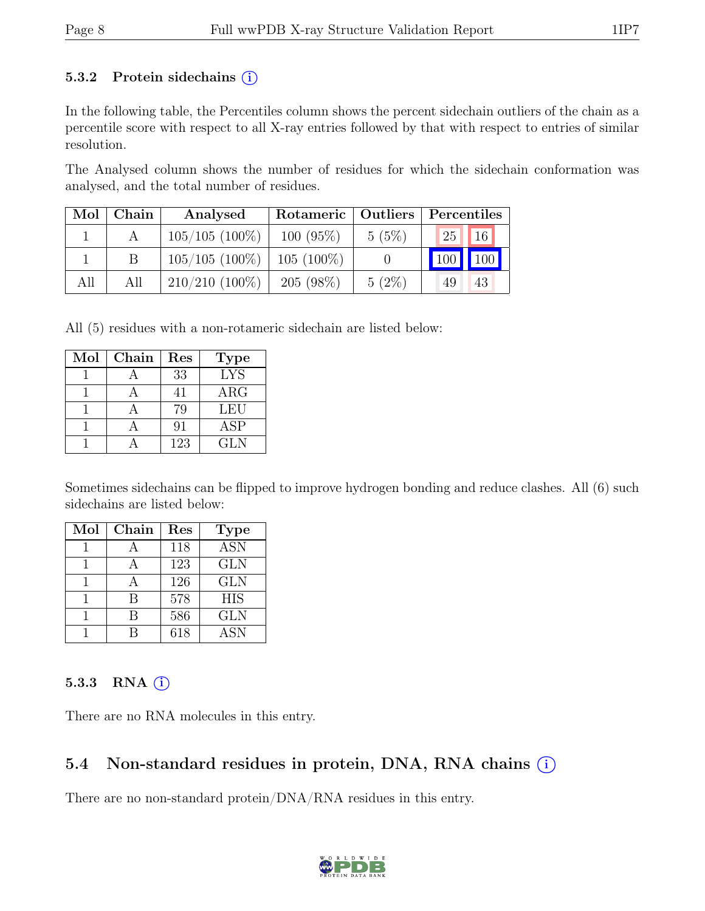#### 5.3.2 Protein sidechains  $(i)$

In the following table, the Percentiles column shows the percent sidechain outliers of the chain as a percentile score with respect to all X-ray entries followed by that with respect to entries of similar resolution.

The Analysed column shows the number of residues for which the sidechain conformation was analysed, and the total number of residues.

| Mol | Chain | Analysed         | Rotameric   Outliers |          | Percentiles     |             |
|-----|-------|------------------|----------------------|----------|-----------------|-------------|
|     |       | $105/105$ (100%) | $100(95\%)$          | 5(5%)    | 25 <sub>1</sub> | 16          |
|     |       | $105/105(100\%)$ | $105(100\%)$         |          | 100             | $\vert$ 100 |
| All | All   | $210/210$ (100%) | $205(98\%)$          | $5(2\%)$ | 49              | 43          |

All (5) residues with a non-rotameric sidechain are listed below:

| Mol | Chain | Res | <b>Type</b> |
|-----|-------|-----|-------------|
|     |       | 33  | <b>LYS</b>  |
|     |       | 41  | $\rm{ARG}$  |
|     |       | 79  | <b>LEU</b>  |
|     |       | 91  | <b>ASP</b>  |
|     |       | 123 | <b>GLN</b>  |

Sometimes sidechains can be flipped to improve hydrogen bonding and reduce clashes. All (6) such sidechains are listed below:

| Mol | Chain | Res | <b>Type</b> |
|-----|-------|-----|-------------|
|     |       | 118 | <b>ASN</b>  |
|     |       | 123 | <b>GLN</b>  |
|     |       | 126 | <b>GLN</b>  |
|     | R     | 578 | <b>HIS</b>  |
|     |       | 586 | <b>GLN</b>  |
|     |       | 618 | <b>ASN</b>  |

#### 5.3.3 RNA  $(i)$

There are no RNA molecules in this entry.

### 5.4 Non-standard residues in protein, DNA, RNA chains  $(i)$

There are no non-standard protein/DNA/RNA residues in this entry.

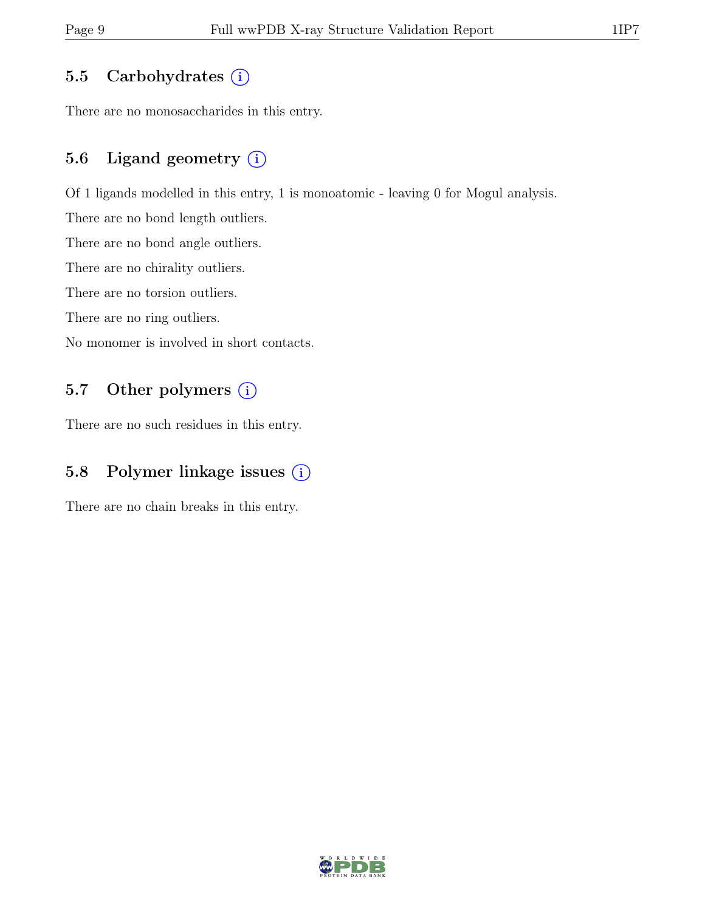### 5.5 Carbohydrates  $(i)$

There are no monosaccharides in this entry.

## 5.6 Ligand geometry  $(i)$

Of 1 ligands modelled in this entry, 1 is monoatomic - leaving 0 for Mogul analysis.

There are no bond length outliers.

There are no bond angle outliers.

There are no chirality outliers.

There are no torsion outliers.

There are no ring outliers.

No monomer is involved in short contacts.

### 5.7 Other polymers (i)

There are no such residues in this entry.

## 5.8 Polymer linkage issues (i)

There are no chain breaks in this entry.